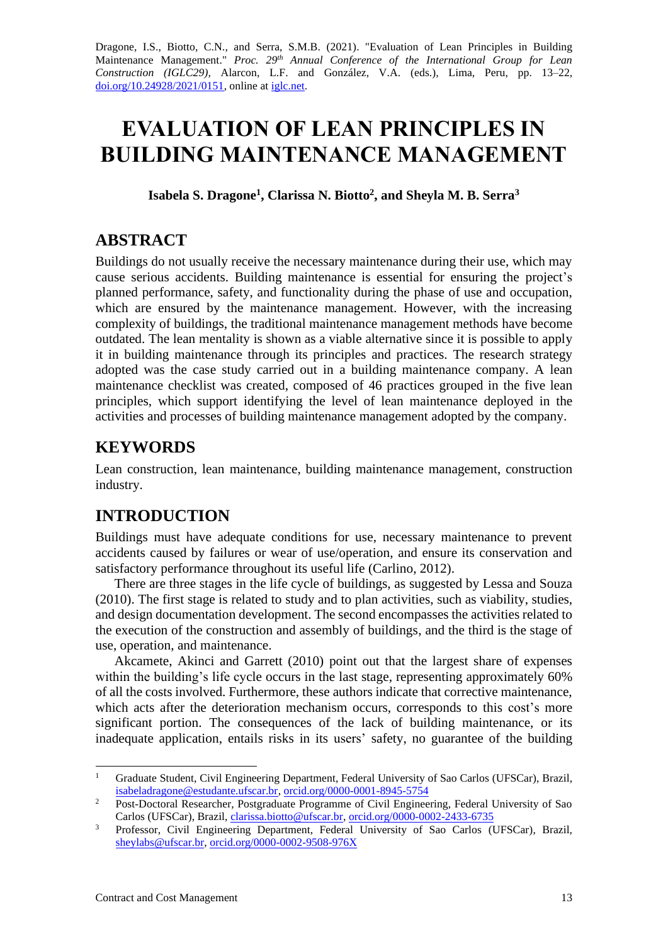Dragone, I.S., Biotto, C.N., and Serra, S.M.B. (2021). "Evaluation of Lean Principles in Building Maintenance Management." *Proc.* 29<sup>th</sup> Annual Conference of the International Group for Lean *Construction (IGLC29),* Alarcon, L.F. and González, V.A. (eds.)*,* Lima, Peru, pp. 13–22, [doi.org/10.24928/2021/0151,](https://doi.org/10.24928/2021/0151) online a[t iglc.net.](http://iglc.net/)

# **EVALUATION OF LEAN PRINCIPLES IN BUILDING MAINTENANCE MANAGEMENT**

**Isabela S. Dragone<sup>1</sup> , Clarissa N. Biotto<sup>2</sup> , and Sheyla M. B. Serra<sup>3</sup>**

## **ABSTRACT**

Buildings do not usually receive the necessary maintenance during their use, which may cause serious accidents. Building maintenance is essential for ensuring the project's planned performance, safety, and functionality during the phase of use and occupation, which are ensured by the maintenance management. However, with the increasing complexity of buildings, the traditional maintenance management methods have become outdated. The lean mentality is shown as a viable alternative since it is possible to apply it in building maintenance through its principles and practices. The research strategy adopted was the case study carried out in a building maintenance company. A lean maintenance checklist was created, composed of 46 practices grouped in the five lean principles, which support identifying the level of lean maintenance deployed in the activities and processes of building maintenance management adopted by the company.

# **KEYWORDS**

Lean construction, lean maintenance, building maintenance management, construction industry.

# **INTRODUCTION**

Buildings must have adequate conditions for use, necessary maintenance to prevent accidents caused by failures or wear of use/operation, and ensure its conservation and satisfactory performance throughout its useful life (Carlino, 2012).

There are three stages in the life cycle of buildings, as suggested by Lessa and Souza (2010). The first stage is related to study and to plan activities, such as viability, studies, and design documentation development. The second encompasses the activities related to the execution of the construction and assembly of buildings, and the third is the stage of use, operation, and maintenance.

Akcamete, Akinci and Garrett (2010) point out that the largest share of expenses within the building's life cycle occurs in the last stage, representing approximately 60% of all the costs involved. Furthermore, these authors indicate that corrective maintenance, which acts after the deterioration mechanism occurs, corresponds to this cost's more significant portion. The consequences of the lack of building maintenance, or its inadequate application, entails risks in its users' safety, no guarantee of the building

<sup>&</sup>lt;sup>1</sup> Graduate Student, Civil Engineering Department, Federal University of Sao Carlos (UFSCar), Brazil, [isabeladragone@estudante.ufscar.br,](mailto:isabeladragone@estudante.ufscar.br) [orcid.org/0000-0001-8945-5754](https://orcid.org/0000-0001-8945-5754)

<sup>&</sup>lt;sup>2</sup> Post-Doctoral Researcher, Postgraduate Programme of Civil Engineering, Federal University of Sao Carlos (UFSCar), Brazil, [clarissa.biotto@ufscar.br,](mailto:clarissa.biotto@ufscar.br) [orcid.org/0000-0002-2433-6735](http://orcid.org/0000-0002-9941-6596)

<sup>&</sup>lt;sup>3</sup> Professor, Civil Engineering Department, Federal University of Sao Carlos (UFSCar), Brazil, [sheylabs@ufscar.br,](mailto:sheylabs@ufscar.br) [orcid.org/0000-0002-9508-976X](https://orcid.org/0000-0002-9508-976X)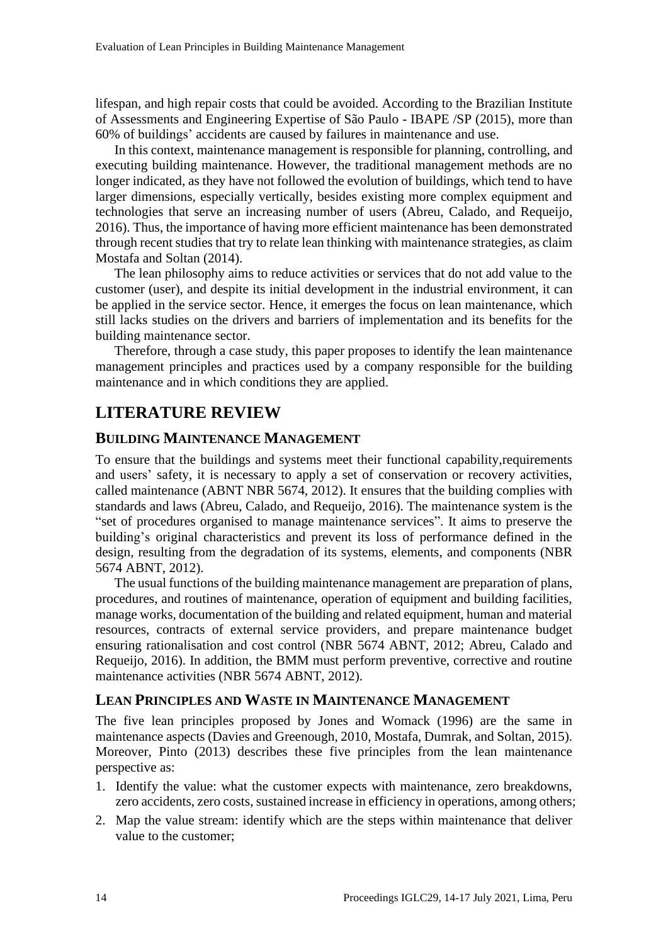lifespan, and high repair costs that could be avoided. According to the Brazilian Institute of Assessments and Engineering Expertise of São Paulo - IBAPE /SP (2015), more than 60% of buildings' accidents are caused by failures in maintenance and use.

In this context, maintenance management is responsible for planning, controlling, and executing building maintenance. However, the traditional management methods are no longer indicated, as they have not followed the evolution of buildings, which tend to have larger dimensions, especially vertically, besides existing more complex equipment and technologies that serve an increasing number of users (Abreu, Calado, and Requeijo, 2016). Thus, the importance of having more efficient maintenance has been demonstrated through recent studies that try to relate lean thinking with maintenance strategies, as claim Mostafa and Soltan (2014).

The lean philosophy aims to reduce activities or services that do not add value to the customer (user), and despite its initial development in the industrial environment, it can be applied in the service sector. Hence, it emerges the focus on lean maintenance, which still lacks studies on the drivers and barriers of implementation and its benefits for the building maintenance sector.

Therefore, through a case study, this paper proposes to identify the lean maintenance management principles and practices used by a company responsible for the building maintenance and in which conditions they are applied.

# **LITERATURE REVIEW**

#### **BUILDING MAINTENANCE MANAGEMENT**

To ensure that the buildings and systems meet their functional capability,requirements and users' safety, it is necessary to apply a set of conservation or recovery activities. called maintenance (ABNT NBR 5674, 2012). It ensures that the building complies with standards and laws (Abreu, Calado, and Requeijo, 2016). The maintenance system is the "set of procedures organised to manage maintenance services". It aims to preserve the building's original characteristics and prevent its loss of performance defined in the design, resulting from the degradation of its systems, elements, and components (NBR 5674 ABNT, 2012).

The usual functions of the building maintenance management are preparation of plans, procedures, and routines of maintenance, operation of equipment and building facilities, manage works, documentation of the building and related equipment, human and material resources, contracts of external service providers, and prepare maintenance budget ensuring rationalisation and cost control (NBR 5674 ABNT, 2012; Abreu, Calado and Requeijo, 2016). In addition, the BMM must perform preventive, corrective and routine maintenance activities (NBR 5674 ABNT, 2012).

#### **LEAN PRINCIPLES AND WASTE IN MAINTENANCE MANAGEMENT**

The five lean principles proposed by Jones and Womack (1996) are the same in maintenance aspects (Davies and Greenough, 2010, Mostafa, Dumrak, and Soltan, 2015). Moreover, Pinto (2013) describes these five principles from the lean maintenance perspective as:

- 1. Identify the value: what the customer expects with maintenance, zero breakdowns, zero accidents, zero costs, sustained increase in efficiency in operations, among others;
- 2. Map the value stream: identify which are the steps within maintenance that deliver value to the customer;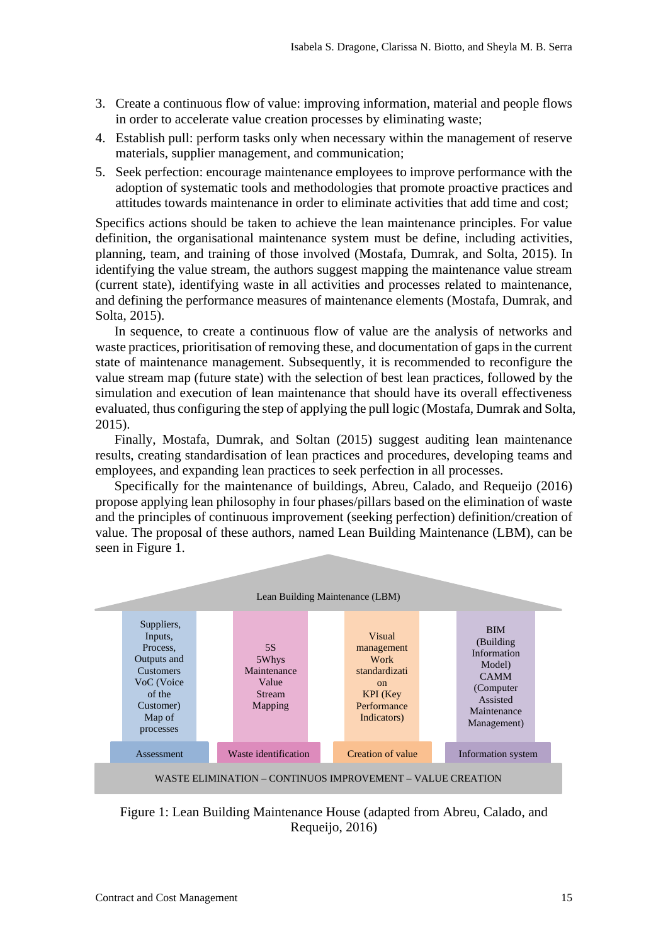- 3. Create a continuous flow of value: improving information, material and people flows in order to accelerate value creation processes by eliminating waste;
- 4. Establish pull: perform tasks only when necessary within the management of reserve materials, supplier management, and communication;
- 5. Seek perfection: encourage maintenance employees to improve performance with the adoption of systematic tools and methodologies that promote proactive practices and attitudes towards maintenance in order to eliminate activities that add time and cost;

Specifics actions should be taken to achieve the lean maintenance principles. For value definition, the organisational maintenance system must be define, including activities, planning, team, and training of those involved (Mostafa, Dumrak, and Solta, 2015). In identifying the value stream, the authors suggest mapping the maintenance value stream (current state), identifying waste in all activities and processes related to maintenance, and defining the performance measures of maintenance elements (Mostafa, Dumrak, and Solta, 2015).

In sequence, to create a continuous flow of value are the analysis of networks and waste practices, prioritisation of removing these, and documentation of gaps in the current state of maintenance management. Subsequently, it is recommended to reconfigure the value stream map (future state) with the selection of best lean practices, followed by the simulation and execution of lean maintenance that should have its overall effectiveness evaluated, thus configuring the step of applying the pull logic (Mostafa, Dumrak and Solta, 2015).

Finally, Mostafa, Dumrak, and Soltan (2015) suggest auditing lean maintenance results, creating standardisation of lean practices and procedures, developing teams and employees, and expanding lean practices to seek perfection in all processes.

Specifically for the maintenance of buildings, Abreu, Calado, and Requeijo (2016) propose applying lean philosophy in four phases/pillars based on the elimination of waste and the principles of continuous improvement (seeking perfection) definition/creation of value. The proposal of these authors, named Lean Building Maintenance (LBM), can be seen in Figure 1.



<span id="page-2-0"></span>Figure 1: Lean Building Maintenance House (adapted from Abreu, Calado, and Requeijo, 2016)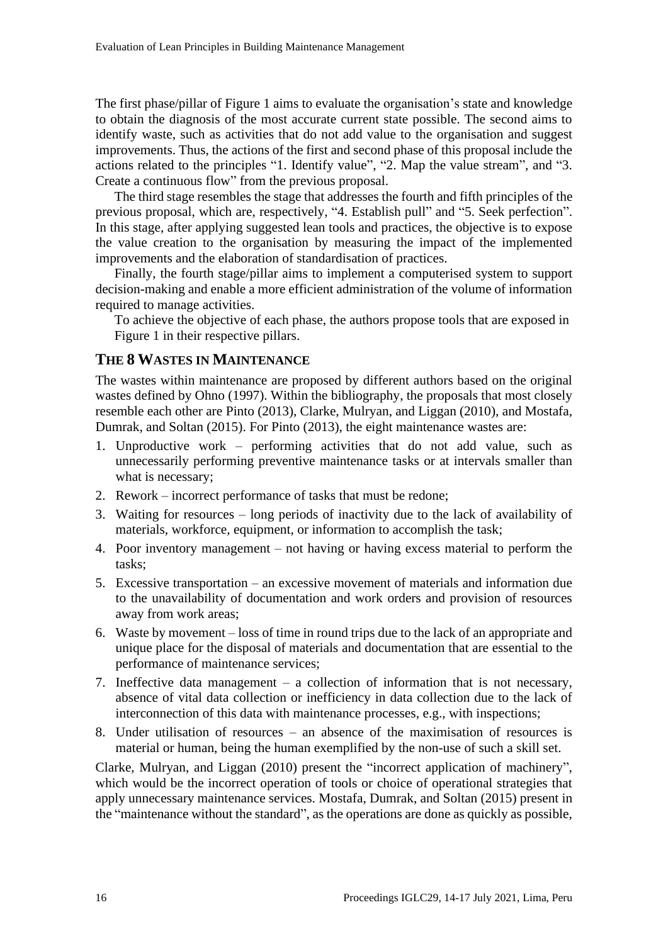The first phase/pillar of Figure 1 aims to evaluate the organisation's state and knowledge to obtain the diagnosis of the most accurate current state possible. The second aims to identify waste, such as activities that do not add value to the organisation and suggest improvements. Thus, the actions of the first and second phase of this proposal include the actions related to the principles "1. Identify value", "2. Map the value stream", and "3. Create a continuous flow" from the previous proposal.

The third stage resembles the stage that addresses the fourth and fifth principles of the previous proposal, which are, respectively, "4. Establish pull" and "5. Seek perfection". In this stage, after applying suggested lean tools and practices, the objective is to expose the value creation to the organisation by measuring the impact of the implemented improvements and the elaboration of standardisation of practices.

Finally, the fourth stage/pillar aims to implement a computerised system to support decision-making and enable a more efficient administration of the volume of information required to manage activities.

To achieve the objective of each phase, the authors propose tools that are exposed in [Figure](#page-2-0) 1 in their respective pillars.

#### **THE 8 WASTES IN MAINTENANCE**

The wastes within maintenance are proposed by different authors based on the original wastes defined by Ohno (1997). Within the bibliography, the proposals that most closely resemble each other are Pinto (2013), Clarke, Mulryan, and Liggan (2010), and Mostafa, Dumrak, and Soltan (2015). For Pinto (2013), the eight maintenance wastes are:

- 1. Unproductive work performing activities that do not add value, such as unnecessarily performing preventive maintenance tasks or at intervals smaller than what is necessary;
- 2. Rework incorrect performance of tasks that must be redone;
- 3. Waiting for resources long periods of inactivity due to the lack of availability of materials, workforce, equipment, or information to accomplish the task;
- 4. Poor inventory management not having or having excess material to perform the tasks;
- 5. Excessive transportation an excessive movement of materials and information due to the unavailability of documentation and work orders and provision of resources away from work areas;
- 6. Waste by movement loss of time in round trips due to the lack of an appropriate and unique place for the disposal of materials and documentation that are essential to the performance of maintenance services;
- 7. Ineffective data management a collection of information that is not necessary, absence of vital data collection or inefficiency in data collection due to the lack of interconnection of this data with maintenance processes, e.g., with inspections;
- 8. Under utilisation of resources an absence of the maximisation of resources is material or human, being the human exemplified by the non-use of such a skill set.

Clarke, Mulryan, and Liggan (2010) present the "incorrect application of machinery", which would be the incorrect operation of tools or choice of operational strategies that apply unnecessary maintenance services. Mostafa, Dumrak, and Soltan (2015) present in the "maintenance without the standard", as the operations are done as quickly as possible,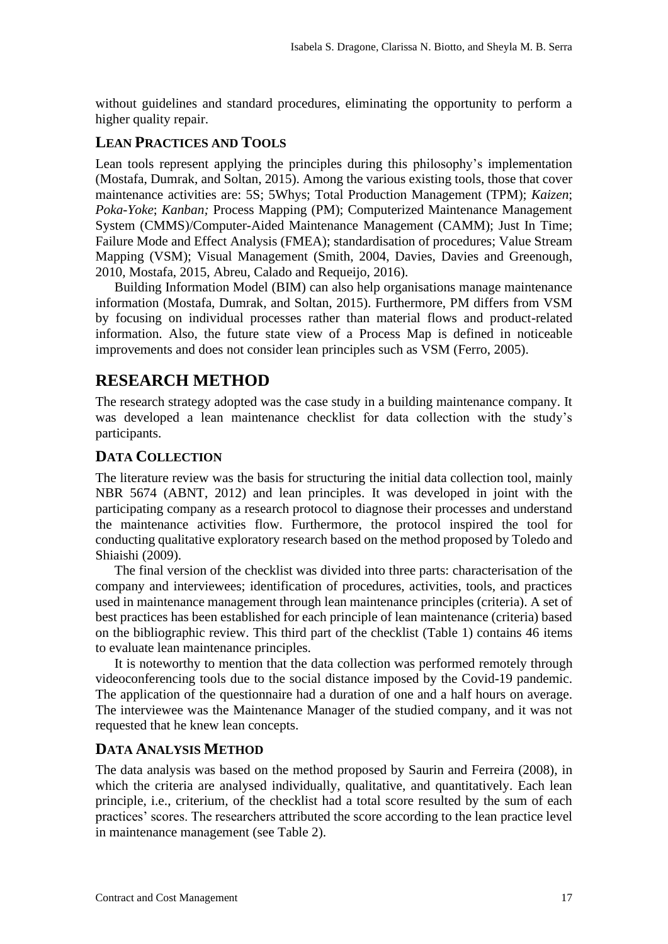without guidelines and standard procedures, eliminating the opportunity to perform a higher quality repair.

#### **LEAN PRACTICES AND TOOLS**

Lean tools represent applying the principles during this philosophy's implementation (Mostafa, Dumrak, and Soltan, 2015). Among the various existing tools, those that cover maintenance activities are: 5S; 5Whys; Total Production Management (TPM); *Kaizen*; *Poka-Yoke*; *Kanban;* Process Mapping (PM); Computerized Maintenance Management System (CMMS)/Computer-Aided Maintenance Management (CAMM); Just In Time; Failure Mode and Effect Analysis (FMEA); standardisation of procedures; Value Stream Mapping (VSM); Visual Management (Smith, 2004, Davies, Davies and Greenough, 2010*,* Mostafa, 2015, Abreu, Calado and Requeijo, 2016).

Building Information Model (BIM) can also help organisations manage maintenance information (Mostafa, Dumrak, and Soltan, 2015). Furthermore, PM differs from VSM by focusing on individual processes rather than material flows and product-related information. Also, the future state view of a Process Map is defined in noticeable improvements and does not consider lean principles such as VSM (Ferro, 2005).

### **RESEARCH METHOD**

The research strategy adopted was the case study in a building maintenance company. It was developed a lean maintenance checklist for data collection with the study's participants.

#### **DATA COLLECTION**

The literature review was the basis for structuring the initial data collection tool, mainly NBR 5674 (ABNT, 2012) and lean principles. It was developed in joint with the participating company as a research protocol to diagnose their processes and understand the maintenance activities flow. Furthermore, the protocol inspired the tool for conducting qualitative exploratory research based on the method proposed by Toledo and Shiaishi (2009).

The final version of the checklist was divided into three parts: characterisation of the company and interviewees; identification of procedures, activities, tools, and practices used in maintenance management through lean maintenance principles (criteria). A set of best practices has been established for each principle of lean maintenance (criteria) based on the bibliographic review. This third part of the checklist (Table 1) contains 46 items to evaluate lean maintenance principles.

It is noteworthy to mention that the data collection was performed remotely through videoconferencing tools due to the social distance imposed by the Covid-19 pandemic. The application of the questionnaire had a duration of one and a half hours on average. The interviewee was the Maintenance Manager of the studied company, and it was not requested that he knew lean concepts.

#### **DATA ANALYSIS METHOD**

The data analysis was based on the method proposed by Saurin and Ferreira (2008), in which the criteria are analysed individually, qualitative, and quantitatively. Each lean principle, i.e., criterium, of the checklist had a total score resulted by the sum of each practices' scores. The researchers attributed the score according to the lean practice level in maintenance management (see Table 2).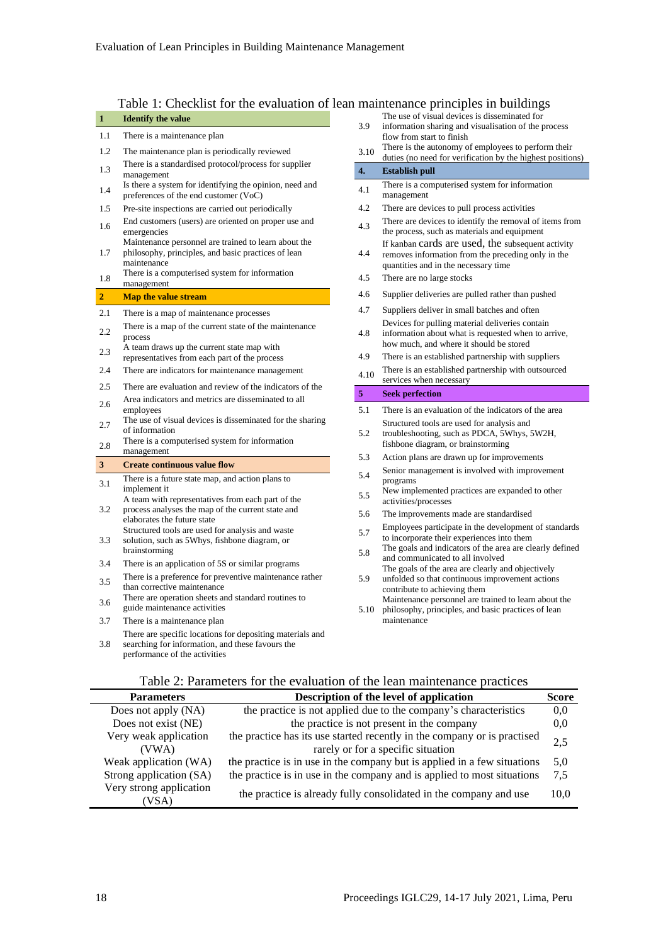### Table 1: Checklist for the evaluation of lean maintenance principles in buildings

| <b>Eatly 1. CHECKITS TOT THE EVALUATION OF IGALE</b> |                                                                                                                                                |  |  |
|------------------------------------------------------|------------------------------------------------------------------------------------------------------------------------------------------------|--|--|
| 1                                                    | <b>Identify the value</b>                                                                                                                      |  |  |
| 1.1                                                  | There is a maintenance plan                                                                                                                    |  |  |
| 1.2                                                  | The maintenance plan is periodically reviewed                                                                                                  |  |  |
| 1.3                                                  | There is a standardised protocol/process for supplier<br>management                                                                            |  |  |
| 1.4                                                  | Is there a system for identifying the opinion, need and<br>preferences of the end customer (VoC)                                               |  |  |
| 1.5                                                  | Pre-site inspections are carried out periodically                                                                                              |  |  |
| 1.6                                                  | End customers (users) are oriented on proper use and<br>emergencies<br>Maintenance personnel are trained to learn about the                    |  |  |
| 1.7                                                  | philosophy, principles, and basic practices of lean<br>maintenance                                                                             |  |  |
| 1.8                                                  | There is a computerised system for information<br>management                                                                                   |  |  |
| $\overline{2}$                                       | <b>Map the value stream</b>                                                                                                                    |  |  |
| 2.1                                                  | There is a map of maintenance processes                                                                                                        |  |  |
| 2.2                                                  | There is a map of the current state of the maintenance<br>process                                                                              |  |  |
| 2.3                                                  | A team draws up the current state map with<br>representatives from each part of the process                                                    |  |  |
| 2.4                                                  | There are indicators for maintenance management                                                                                                |  |  |
| 2.5                                                  | There are evaluation and review of the indicators of the                                                                                       |  |  |
| 2.6                                                  | Area indicators and metrics are disseminated to all<br>employees                                                                               |  |  |
| 2.7                                                  | The use of visual devices is disseminated for the sharing<br>of information                                                                    |  |  |
| 2.8                                                  | There is a computerised system for information<br>management                                                                                   |  |  |
| 3                                                    | <b>Create continuous value flow</b>                                                                                                            |  |  |
| 3.1                                                  | There is a future state map, and action plans to<br>implement it                                                                               |  |  |
| 3.2                                                  | A team with representatives from each part of the<br>process analyses the map of the current state and<br>elaborates the future state          |  |  |
| 3.3                                                  | Structured tools are used for analysis and waste<br>solution, such as 5Whys, fishbone diagram, or<br>brainstorming                             |  |  |
| 3.4                                                  | There is an application of 5S or similar programs                                                                                              |  |  |
| 3.5                                                  | There is a preference for preventive maintenance rather<br>than corrective maintenance                                                         |  |  |
| 3.6                                                  | There are operation sheets and standard routines to<br>guide maintenance activities                                                            |  |  |
| 3.7                                                  | There is a maintenance plan                                                                                                                    |  |  |
| 3.8                                                  | There are specific locations for depositing materials and<br>searching for information, and these favours the<br>performance of the activities |  |  |

- 3.9 The use of visual devices is disseminated for information sharing and visualisation of the process
- flow from start to finish 3.10 There is the autonomy of employees to perform their duties (no need for verification by the highest positions)
- **4. Establish pull**  $4.1$  There is a computerised system for information management 4.2 There are devices to pull process activities 4.3 There are devices to identify the removal of items from the process, such as materials and equipment 4.4 If kanban cards are used, the subsequent activity removes information from the preceding only in the quantities and in the necessary time 4.5 There are no large stocks 4.6 Supplier deliveries are pulled rather than pushed 4.7 Suppliers deliver in small batches and often 4.8 Devices for pulling material deliveries contain information about what is requested when to arrive, how much, and where it should be stored 4.9 There is an established partnership with suppliers 4.10 There is an established partnership with outsourced services when necessary **5 Seek perfection** 5.1 There is an evaluation of the indicators of the area 5.2 Structured tools are used for analysis and troubleshooting, such as PDCA, 5Whys, 5W2H, fishbone diagram, or brainstorming 5.3 Action plans are drawn up for improvements 5.4 Senior management is involved with improvement programs 5.5 New implemented practices are expanded to other activities/processes 5.6 The improvements made are standardised 5.7 Employees participate in the development of standards to incorporate their experiences into them
- 5.8 The goals and indicators of the area are clearly defined and communicated to all involved
- 5.9 The goals of the area are clearly and objectively unfolded so that continuous improvement actions contribute to achieving them
- 5.10 philosophy, principles, and basic practices of lean Maintenance personnel are trained to learn about the maintenance

#### Table 2: Parameters for the evaluation of the lean maintenance practices

| <b>Parameters</b>               | Description of the level of application                                                                        | Score |
|---------------------------------|----------------------------------------------------------------------------------------------------------------|-------|
| Does not apply (NA)             | the practice is not applied due to the company's characteristics                                               | 0.0   |
| Does not exist (NE)             | the practice is not present in the company                                                                     | 0.0   |
| Very weak application<br>(VWA)  | the practice has its use started recently in the company or is practised<br>rarely or for a specific situation | 2,5   |
| Weak application (WA)           | the practice is in use in the company but is applied in a few situations                                       | 5.0   |
| Strong application (SA)         | the practice is in use in the company and is applied to most situations                                        | 7.5   |
| Very strong application<br>/SA) | the practice is already fully consolidated in the company and use                                              | 10.0  |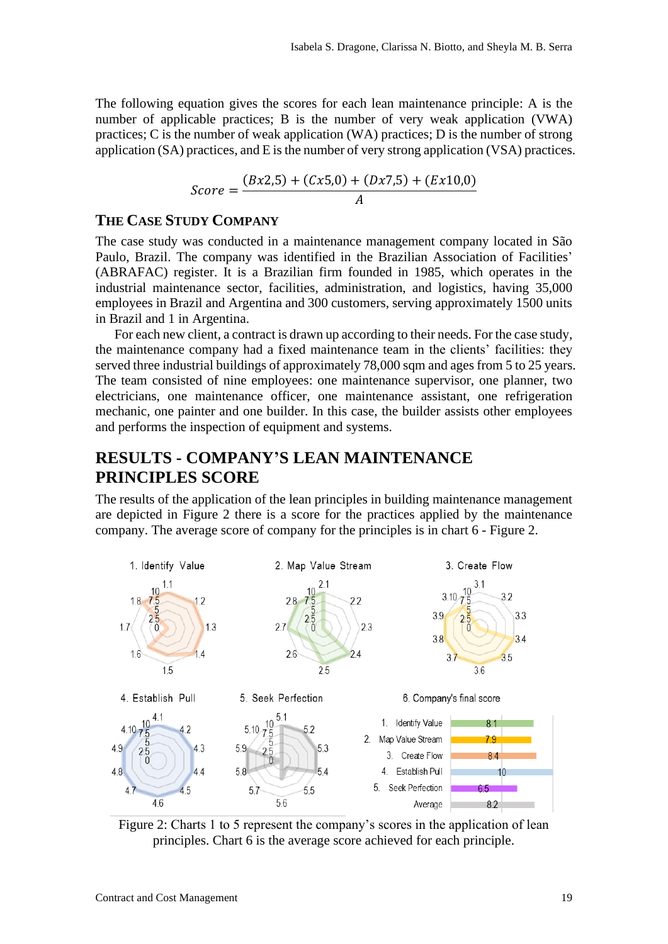The following equation gives the scores for each lean maintenance principle: A is the number of applicable practices; B is the number of very weak application (VWA) practices; C is the number of weak application (WA) practices; D is the number of strong application (SA) practices, and E is the number of very strong application (VSA) practices.

$$
Score = \frac{(Bx2,5) + (Cx5,0) + (Dx7,5) + (Ex10,0)}{A}
$$

#### **THE CASE STUDY COMPANY**

The case study was conducted in a maintenance management company located in São Paulo, Brazil. The company was identified in the Brazilian Association of Facilities' (ABRAFAC) register. It is a Brazilian firm founded in 1985, which operates in the industrial maintenance sector, facilities, administration, and logistics, having 35,000 employees in Brazil and Argentina and 300 customers, serving approximately 1500 units in Brazil and 1 in Argentina.

For each new client, a contract is drawn up according to their needs. For the case study, the maintenance company had a fixed maintenance team in the clients' facilities: they served three industrial buildings of approximately 78,000 sqm and ages from 5 to 25 years. The team consisted of nine employees: one maintenance supervisor, one planner, two electricians, one maintenance officer, one maintenance assistant, one refrigeration mechanic, one painter and one builder. In this case, the builder assists other employees and performs the inspection of equipment and systems.

## **RESULTS - COMPANY'S LEAN MAINTENANCE PRINCIPLES SCORE**

The results of the application of the lean principles in building maintenance management are depicted in Figure 2 there is a score for the practices applied by the maintenance company. The average score of company for the principles is in chart 6 - Figure 2.



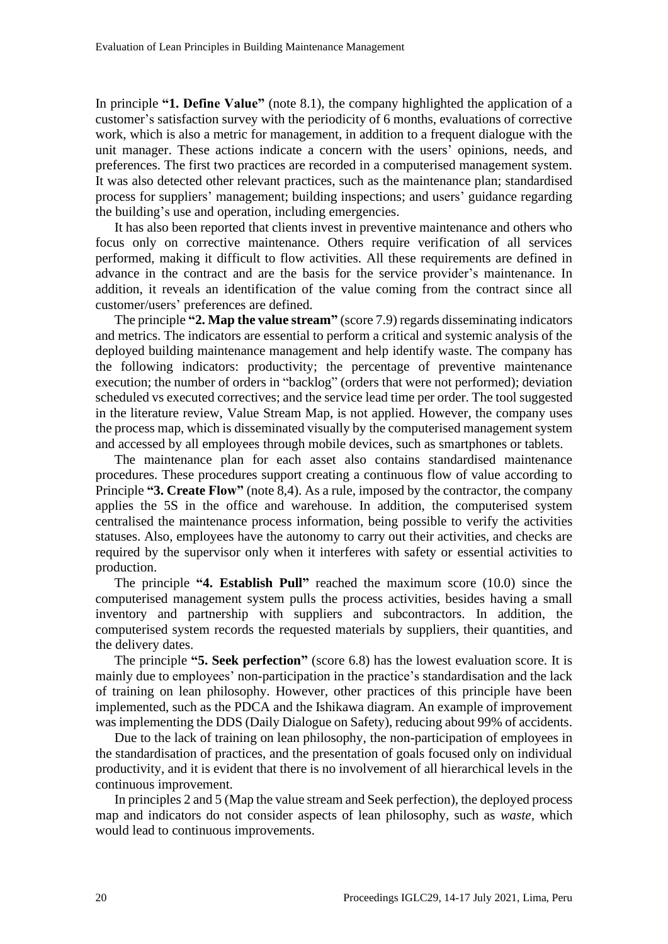In principle **"1. Define Value"** (note 8.1), the company highlighted the application of a customer's satisfaction survey with the periodicity of 6 months, evaluations of corrective work, which is also a metric for management, in addition to a frequent dialogue with the unit manager. These actions indicate a concern with the users' opinions, needs, and preferences. The first two practices are recorded in a computerised management system. It was also detected other relevant practices, such as the maintenance plan; standardised process for suppliers' management; building inspections; and users' guidance regarding the building's use and operation, including emergencies.

It has also been reported that clients invest in preventive maintenance and others who focus only on corrective maintenance. Others require verification of all services performed, making it difficult to flow activities. All these requirements are defined in advance in the contract and are the basis for the service provider's maintenance. In addition, it reveals an identification of the value coming from the contract since all customer/users' preferences are defined.

The principle **"2. Map the value stream"** (score 7.9) regards disseminating indicators and metrics. The indicators are essential to perform a critical and systemic analysis of the deployed building maintenance management and help identify waste. The company has the following indicators: productivity; the percentage of preventive maintenance execution; the number of orders in "backlog" (orders that were not performed); deviation scheduled vs executed correctives; and the service lead time per order. The tool suggested in the literature review, Value Stream Map, is not applied. However, the company uses the process map, which is disseminated visually by the computerised management system and accessed by all employees through mobile devices, such as smartphones or tablets.

The maintenance plan for each asset also contains standardised maintenance procedures. These procedures support creating a continuous flow of value according to Principle **"3. Create Flow"** (note 8,4). As a rule, imposed by the contractor, the company applies the 5S in the office and warehouse. In addition, the computerised system centralised the maintenance process information, being possible to verify the activities statuses. Also, employees have the autonomy to carry out their activities, and checks are required by the supervisor only when it interferes with safety or essential activities to production.

The principle **"4. Establish Pull"** reached the maximum score (10.0) since the computerised management system pulls the process activities, besides having a small inventory and partnership with suppliers and subcontractors. In addition, the computerised system records the requested materials by suppliers, their quantities, and the delivery dates.

The principle **"5. Seek perfection"** (score 6.8) has the lowest evaluation score. It is mainly due to employees' non-participation in the practice's standardisation and the lack of training on lean philosophy. However, other practices of this principle have been implemented, such as the PDCA and the Ishikawa diagram. An example of improvement was implementing the DDS (Daily Dialogue on Safety), reducing about 99% of accidents.

Due to the lack of training on lean philosophy, the non-participation of employees in the standardisation of practices, and the presentation of goals focused only on individual productivity, and it is evident that there is no involvement of all hierarchical levels in the continuous improvement.

In principles 2 and 5 (Map the value stream and Seek perfection), the deployed process map and indicators do not consider aspects of lean philosophy, such as *waste,* which would lead to continuous improvements.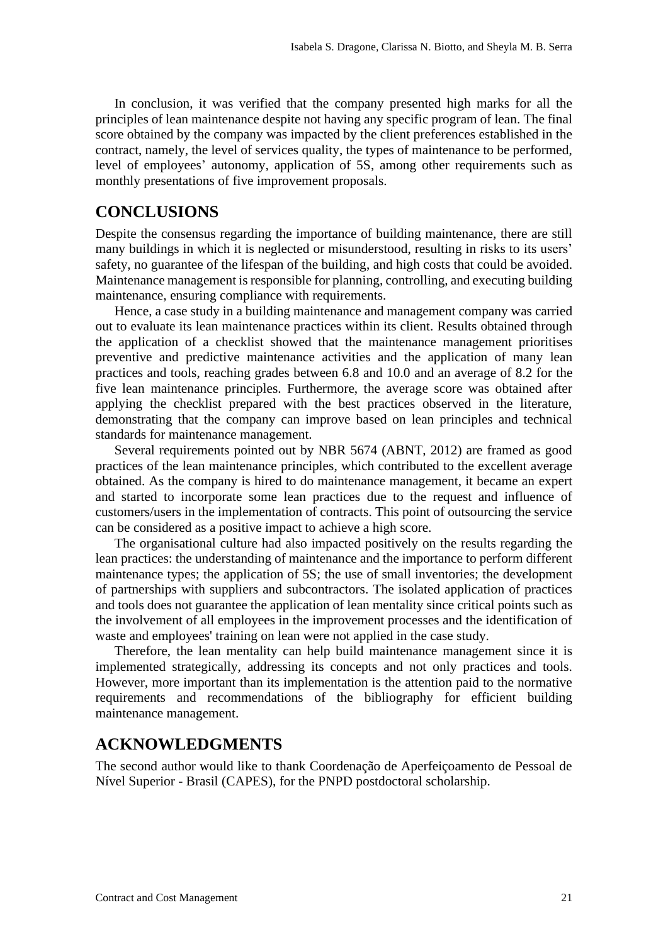In conclusion, it was verified that the company presented high marks for all the principles of lean maintenance despite not having any specific program of lean. The final score obtained by the company was impacted by the client preferences established in the contract, namely, the level of services quality, the types of maintenance to be performed, level of employees' autonomy, application of 5S, among other requirements such as monthly presentations of five improvement proposals.

### **CONCLUSIONS**

Despite the consensus regarding the importance of building maintenance, there are still many buildings in which it is neglected or misunderstood, resulting in risks to its users' safety, no guarantee of the lifespan of the building, and high costs that could be avoided. Maintenance management is responsible for planning, controlling, and executing building maintenance, ensuring compliance with requirements.

Hence, a case study in a building maintenance and management company was carried out to evaluate its lean maintenance practices within its client. Results obtained through the application of a checklist showed that the maintenance management prioritises preventive and predictive maintenance activities and the application of many lean practices and tools, reaching grades between 6.8 and 10.0 and an average of 8.2 for the five lean maintenance principles. Furthermore, the average score was obtained after applying the checklist prepared with the best practices observed in the literature, demonstrating that the company can improve based on lean principles and technical standards for maintenance management.

Several requirements pointed out by NBR 5674 (ABNT, 2012) are framed as good practices of the lean maintenance principles, which contributed to the excellent average obtained. As the company is hired to do maintenance management, it became an expert and started to incorporate some lean practices due to the request and influence of customers/users in the implementation of contracts. This point of outsourcing the service can be considered as a positive impact to achieve a high score.

The organisational culture had also impacted positively on the results regarding the lean practices: the understanding of maintenance and the importance to perform different maintenance types; the application of 5S; the use of small inventories; the development of partnerships with suppliers and subcontractors. The isolated application of practices and tools does not guarantee the application of lean mentality since critical points such as the involvement of all employees in the improvement processes and the identification of waste and employees' training on lean were not applied in the case study.

Therefore, the lean mentality can help build maintenance management since it is implemented strategically, addressing its concepts and not only practices and tools. However, more important than its implementation is the attention paid to the normative requirements and recommendations of the bibliography for efficient building maintenance management.

### **ACKNOWLEDGMENTS**

The second author would like to thank Coordenação de Aperfeiçoamento de Pessoal de Nível Superior - Brasil (CAPES), for the PNPD postdoctoral scholarship.